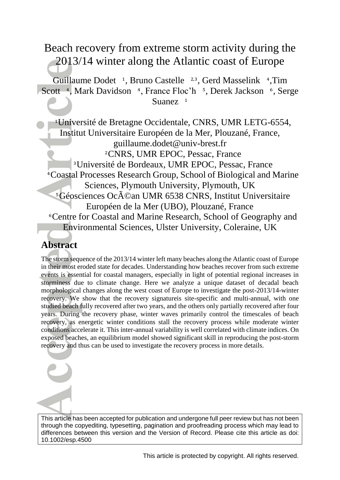# Beach recovery from extreme storm activity during the 2013/14 winter along the Atlantic coast of Europe

Guillaume Dodet <sup>1</sup>, Bruno Castelle <sup>2,3</sup>, Gerd Masselink <sup>4</sup>, Tim Scott <sup>4</sup>, Mark Davidson <sup>4</sup>, France Floc'h <sup>5</sup>, Derek Jackson <sup>6</sup>, Serge Suanez<sup>1</sup>

 Université de Bretagne Occidentale, CNRS, UMR LETG-6554, Institut Universitaire Européen de la Mer, Plouzané, France, guillaume.dodet@univ-brest.fr <sup>2</sup>CNRS, UMR EPOC, Pessac, France Université de Bordeaux, UMR EPOC, Pessac, France Coastal Processes Research Group, School of Biological and Marine Sciences, Plymouth University, Plymouth, UK <sup>5</sup>Géosciences Océan UMR 6538 CNRS, Institut Universitaire Européen de la Mer (UBO), Plouzané, France Centre for Coastal and Marine Research, School of Geography and Environmental Sciences, Ulster University, Coleraine, UK

# **Abstract**

The storm sequence of the 2013/14 winter left many beaches along the Atlantic coast of Europe in their most eroded state for decades. Understanding how beaches recover from such extreme events is essential for coastal managers, especially in light of potential regional increases in storminess due to climate change. Here we analyze a unique dataset of decadal beach morphological changes along the west coast of Europe to investigate the post-2013/14-winter recovery. We show that the recovery signatureis site-specific and multi-annual, with one studied beach fully recovered after two years, and the others only partially recovered after four years. During the recovery phase, winter waves primarily control the timescales of beach recovery, as energetic winter conditions stall the recovery process while moderate winter conditions accelerate it. This inter-annual variability is well correlated with climate indices. On exposed beaches, an equilibrium model showed significant skill in reproducing the post-storm recovery and thus can be used to investigate the recovery process in more details.



This article has been accepted for publication and undergone full peer review but has not been through the copyediting, typesetting, pagination and proofreading process which may lead to differences between this version and the Version of Record. Please cite this article as doi: 10.1002/esp.4500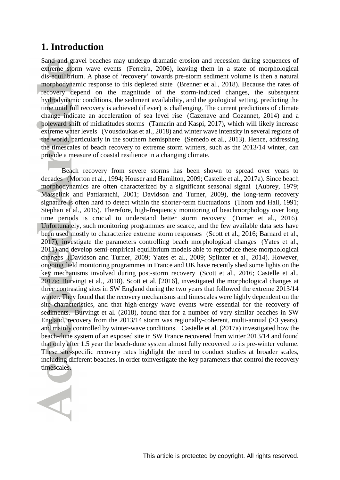### **1. Introduction**

Sand and gravel beaches may undergo dramatic erosion and recession during sequences of extreme storm wave events (Ferreira, 2006), leaving them in a state of morphological dis-equilibrium. A phase of 'recovery' towards pre-storm sediment volume is then a natural morphodynamic response to this depleted state (Brenner et al., 2018). Because the rates of recovery depend on the magnitude of the storm-induced changes, the subsequent hydrodynamic conditions, the sediment availability, and the geological setting, predicting the time until full recovery is achieved (if ever) is challenging. The current predictions of climate change indicate an acceleration of sea level rise (Cazenave and Cozannet, 2014) and a poleward shift of midlatitudes storms (Tamarin and Kaspi, 2017), which will likely increase extreme water levels (Vousdoukas et al., 2018) and winter wave intensity in several regions of the world, particularly in the southern hemisphere (Semedo et al., 2013). Hence, addressing the timescales of beach recovery to extreme storm winters, such as the 2013/14 winter, can provide a measure of coastal resilience in a changing climate.

Beach recovery from severe storms has been shown to spread over years to decades (Morton et al., 1994; Houser and Hamilton, 2009; Castelle et al., 2017a). Since beach morphodynamics are often characterized by a significant seasonal signal (Aubrey, 1979; Masselink and Pattiaratchi, 2001; Davidson and Turner, 2009), the long-term recovery signature is often hard to detect within the shorter-term fluctuations (Thom and Hall, 1991; Stephan et al., 2015). Therefore, high-frequency monitoring of beachmorphology over long time periods is crucial to understand better storm recovery (Turner et al., 2016). Unfortunately, such monitoring programmes are scarce, and the few available data sets have been used mostly to characterize extreme storm responses (Scott et al., 2016; Barnard et al., 2017), investigate the parameters controlling beach morphological changes (Yates et al., 2011) and develop semi-empirical equilibrium models able to reproduce these morphological changes (Davidson and Turner, 2009; Yates et al., 2009; Splinter et al., 2014). However, ongoing field monitoring programmes in France and UK have recently shed some lights on the key mechanisms involved during post-storm recovery (Scott et al., 2016; Castelle et al., 2017a; Burvingt et al., 2018). Scott et al. [2016], investigated the morphological changes at three contrasting sites in SW England during the two years that followed the extreme 2013/14 winter. They found that the recovery mechanisms and timescales were highly dependent on the site characteristics, and that high-energy wave events were essential for the recovery of sediments. Burvingt et al. (2018), found that for a number of very similar beaches in SW England, recovery from the 2013/14 storm was regionally-coherent, multi-annual (>3 years), and mainly controlled by winter-wave conditions. Castelle et al. (2017a) investigated how the beach-dune system of an exposed site in SW France recovered from winter 2013/14 and found that only after 1.5 year the beach-dune system almost fully recovered to its pre-winter volume. These site-specific recovery rates highlight the need to conduct studies at broader scales, including different beaches, in order toinvestigate the key parameters that control the recovery timescales.

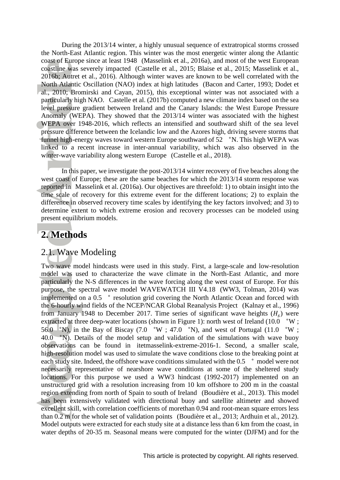During the 2013/14 winter, a highly unusual sequence of extratropical storms crossed the North-East Atlantic region. This winter was the most energetic winter along the Atlantic coast of Europe since at least 1948 (Masselink et al., 2016a), and most of the west European coastline was severely impacted (Castelle et al., 2015; Blaise et al., 2015; Masselink et al., 2016b; Autret et al., 2016). Although winter waves are known to be well correlated with the North Atlantic Oscillation (NAO) index at high latitudes (Bacon and Carter, 1993; Dodet et al., 2010; Bromirski and Cayan, 2015), this exceptional winter was not associated with a particularly high NAO. Castelle et al. (2017b) computed a new climate index based on the sea level pressure gradient between Ireland and the Canary Islands: the West Europe Pressure Anomaly (WEPA). They showed that the 2013/14 winter was associated with the highest WEPA over 1948-2016, which reflects an intensified and southward shift of the sea level pressure difference between the Icelandic low and the Azores high, driving severe storms that funnel high-energy waves toward western Europe southward of  $52$  °N. This high WEPA was linked to a recent increase in inter-annual variability, which was also observed in the winter-wave variability along western Europe (Castelle et al., 2018).

In this paper, we investigate the post-2013/14 winter recovery of five beaches along the west coast of Europe; these are the same beaches for which the 2013/14 storm response was reported in Masselink et al. (2016a). Our objectives are threefold: 1) to obtain insight into the time scale of recovery for this extreme event for the different locations; 2) to explain the difference in observed recovery time scales by identifying the key factors involved; and 3) to determine extent to which extreme erosion and recovery processes can be modeled using present equilibrium models.

### **2. Methods**

#### 2.1. Wave Modeling

Two wave model hindcasts were used in this study. First, a large-scale and low-resolution model was used to characterize the wave climate in the North-East Atlantic, and more particularly the N-S differences in the wave forcing along the west coast of Europe. For this purpose, the spectral wave model WAVEWATCH III V4.18 (WW3, Tolman, 2014) was implemented on a 0.5 ° resolution grid covering the North Atlantic Ocean and forced with the 6-hourly wind fields of the NCEP/NCAR Global Reanalysis Project (Kalnay et al., 1996) from January 1948 to December 2017. Time series of significant wave heights  $(H_s)$  were extracted at three deep-water locations (shown in Figure 1): north west of Ireland (10.0 °W; 56.0 °N), in the Bay of Biscay (7.0 °W ; 47.0 °N), and west of Portugal (11.0 °W ;  $40.0$  °N). Details of the model setup and validation of the simulations with wave buoy observations can be found in itetmasselink-extreme-2016-1. Second, a smaller scale, high-resolution model was used to simulate the wave conditions close to the breaking point at each study site. Indeed, the offshore wave conditions simulated with the 0.5  $\degree$  model were not necessarily representative of nearshore wave conditions at some of the sheltered study locations. For this purpose we used a WW3 hindcast (1992-2017) implemented on an unstructured grid with a resolution increasing from 10 km offshore to 200 m in the coastal region extending from north of Spain to south of Ireland (Boudière et al., 2013). This model has been extensively validated with directional buoy and satellite altimeter and showed excellent skill, with correlation coefficients of morethan 0.94 and root-mean square errors less than 0.2 m for the whole set of validation points (Boudière et al., 2013; Ardhuin et al., 2012). Model outputs were extracted for each study site at a distance less than 6 km from the coast, in water depths of 20-35 m. Seasonal means were computed for the winter (DJFM) and for the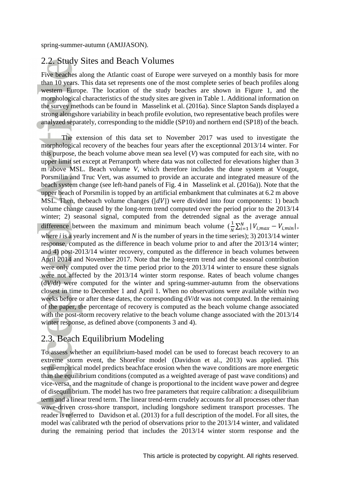### 2.2. Study Sites and Beach Volumes

Five beaches along the Atlantic coast of Europe were surveyed on a monthly basis for more than 10 years. This data set represents one of the most complete series of beach profiles along western Europe. The location of the study beaches are shown in Figure 1, and the morphological characteristics of the study sites are given in Table 1. Additional information on the survey methods can be found in Masselink et al. (2016a). Since Slapton Sands displayed a strong alongshore variability in beach profile evolution, two representative beach profiles were analyzed separately, corresponding to the middle (SP10) and northern end (SP18) of the beach.

The extension of this data set to November 2017 was used to investigate the morphological recovery of the beaches four years after the exceptionnal 2013/14 winter. For this purpose, the beach volume above mean sea level (*V*) was computed for each site, with no upper limit set except at Perranporth where data was not collected for elevations higher than 3 m above MSL. Beach volume *V*, which therefore includes the dune system at Vougot, Porsmilin and Truc Vert, was assumed to provide an accurate and integrated measure of the beach system change (see left-hand panels of Fig. 4 in Masselink et al. (2016a)). Note that the upper beach of Porsmilin is topped by an artificial embankment that culminates at 6.2 m above MSL. Then, the beach volume changes  $(|dV|)$  were divided into four components: 1) beach volume change caused by the long-term trend computed over the period prior to the 2013/14 winter; 2) seasonal signal, computed from the detrended signal as the average annual difference between the maximum and minimum beach volume  $\left(\frac{1}{N}\sum_{i=1}^{N} |V_{i,max} - V_{i,min}| \right)$ , where *i* is a yearly increment and *N* is the number of years in the time series); 3) 2013/14 winter response, computed as the difference in beach volume prior to and after the 2013/14 winter; and 4) post-2013/14 winter recovery, computed as the difference in beach volumes between April 2014 and November 2017. Note that the long-term trend and the seasonal contribution were only computed over the time period prior to the 2013/14 winter to ensure these signals were not affected by the 2013/14 winter storm response. Rates of beach volume changes (d*V*/d*t*) were computed for the winter and spring-summer-autumn from the observations closest in time to December 1 and April 1. When no observations were available within two weeks before or after these dates, the corresponding d*V*/d*t* was not computed. In the remaining of the paper, the percentage of recovery is computed as the beach volume change associated with the post-storm recovery relative to the beach volume change associated with the 2013/14 winter response, as defined above (components 3 and 4).

### 2.3. Beach Equilibrium Modeling

To assess whether an equilibrium-based model can be used to forecast beach recovery to an extreme storm event, the ShoreFor model (Davidson et al., 2013) was applied. This semi-empirical model predicts beachface erosion when the wave conditions are more energetic than the equilibrium conditions (computed as a weighted average of past wave conditions) and vice-versa, and the magnitude of change is proportional to the incident wave power and degree of disequilibrium. The model has two free parameters that require calibration: a disequilibrium term and a linear trend term. The linear trend-term crudely accounts for all processes other than wave-driven cross-shore transport, including longshore sediment transport processes. The reader is referred to Davidson et al. (2013) for a full description of the model. For all sites, the model was calibrated wth the period of observations prior to the 2013/14 winter, and validated during the remaining period that includes the 2013/14 winter storm response and the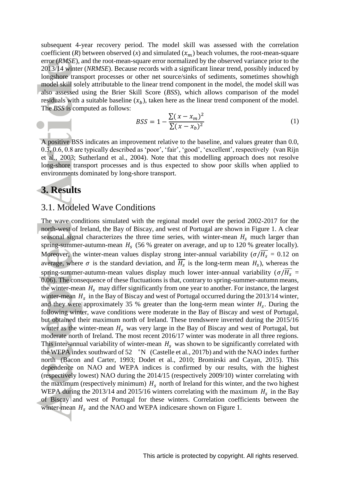subsequent 4-year recovery period. The model skill was assessed with the correlation coefficient (*R*) between observed (*x*) and simulated  $(x_m)$  beach volumes, the root-mean-square error (*RMSE*), and the root-mean-square error normalized by the observed variance prior to the 2013/14 winter (*NRMSE*). Because records with a significant linear trend, possibly induced by longshore transport processes or other net source/sinks of sediments, sometimes showhigh model skill solely attributable to the linear trend component in the model, the model skill was also assessed using the Brier Skill Score (*BSS*), which allows comparison of the model residuals with a suitable baseline  $(x_b)$ , taken here as the linear trend component of the model. The *BSS* is computed as follows:

$$
BSS = 1 - \frac{\sum (x - x_m)^2}{\sum (x - x_b)^2}
$$
 (1)

A positive BSS indicates an improvement relative to the baseline, and values greater than 0.0, 0.3, 0.6, 0.8 are typically described as 'poor', 'fair', 'good', 'excellent', respectively (van Rijn et al., 2003; Sutherland et al., 2004). Note that this modelling approach does not resolve long-shore transport processes and is thus expected to show poor skills when applied to environments dominated by long-shore transport.

#### **3. Results**

#### 3.1. Modeled Wave Conditions

The wave conditions simulated with the regional model over the period 2002-2017 for the north-west of Ireland, the Bay of Biscay, and west of Portugal are shown in Figure 1. A clear seasonal signal characterizes the three time series, with winter-mean  $H_s$  much larger than spring-summer-autumn-mean  $H_s$  (56 % greater on average, and up to 120 % greater locally). Moreover, the winter-mean values display strong inter-annual variability ( $\sigma/\overline{H_s} = 0.12$  on average, where  $\sigma$  is the standard deviation, and  $H_s$  is the long-term mean  $H_s$ ), whereas the spring-summer-autumn-mean values display much lower inter-annual variability ( $\sigma/\overline{H_s}$  = 0.06). The consequence of these fluctuations is that, contrary to spring-summer-autumn means, the winter-mean  $H_s$  may differ significantly from one year to another. For instance, the largest winter-mean  $H_s$  in the Bay of Biscay and west of Portugal occurred during the 2013/14 winter, and they were approximately 35 % greater than the long-term mean winter  $H_s$ . During the following winter, wave conditions were moderate in the Bay of Biscay and west of Portugal, but obtained their maximum north of Ireland. These trendswere inverted during the 2015/16 winter as the winter-mean  $H_s$  was very large in the Bay of Biscay and west of Portugal, but moderate north of Ireland. The most recent 2016/17 winter was moderate in all three regions. This inter-annual variability of winter-mean  $H_s$  was shown to be significantly correlated with the WEPA index southward of  $52 \degree N$  (Castelle et al., 2017b) and with the NAO index further north (Bacon and Carter, 1993; Dodet et al., 2010; Bromirski and Cayan, 2015). This dependence on NAO and WEPA indices is confirmed by our results, with the highest (respectively lowest) NAO during the 2014/15 (respectively 2009/10) winter correlating with the maximum (respectively minimum)  $H_s$  north of Ireland for this winter, and the two highest WEPA during the 2013/14 and 2015/16 winters correlating with the maximum  $H_s$  in the Bay of Biscay and west of Portugal for these winters. Correlation coefficients between the winter-mean  $H_s$  and the NAO and WEPA indicesare shown on Figure 1.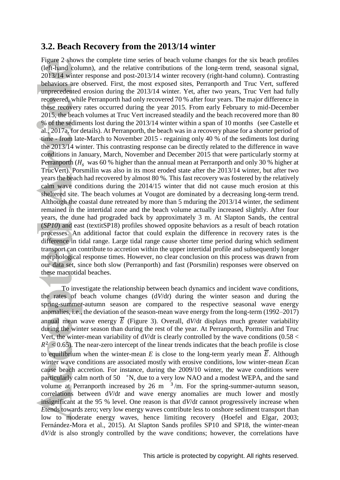#### **3.2. Beach Recovery from the 2013/14 winter**

Figure 2 shows the complete time series of beach volume changes for the six beach profiles (left-hand column), and the relative contributions of the long-term trend, seasonal signal, 2013/14 winter response and post-2013/14 winter recovery (right-hand column). Contrasting behaviors are observed. First, the most exposed sites, Perranporth and Truc Vert, suffered unprecedented erosion during the 2013/14 winter. Yet, after two years, Truc Vert had fully recovered, while Perranporth had only recovered 70 % after four years. The major difference in these recovery rates occurred during the year 2015. From early February to mid-December 2015, the beach volumes at Truc Vert increased steadily and the beach recovered more than 80 % of the sediments lost during the 2013/14 winter within a span of 10 months (see Castelle et al., 2017a, for details). At Perranporth, the beach was in a recovery phase for a shorter period of time - from late-March to November 2015 - regaining only 40 % of the sediments lost during the 2013/14 winter. This contrasting response can be directly related to the difference in wave conditions in January, March, November and December 2015 that were particularly stormy at Perranporth ( $H_s$  was 60 % higher than the annual mean at Perranporth and only 30 % higher at TrucVert). Porsmilin was also in its most eroded state after the 2013/14 winter, but after two years the beach had recovered by almost 80 %. This fast recovery was fostered by the relatively calm wave conditions during the 2014/15 winter that did not cause much erosion at this sheltered site. The beach volumes at Vougot are dominated by a decreasing long-term trend. Although the coastal dune retreated by more than 5 mduring the 2013/14 winter, the sediment remained in the intertidal zone and the beach volume actually increased slightly. After four years, the dune had prograded back by approximately 3 m. At Slapton Sands, the central (*SP10*) and east (textitSP18) profiles showed opposite behaviors as a result of beach rotation processes. An additional factor that could explain the difference in recovery rates is the difference in tidal range. Large tidal range cause shorter time period during which sediment transport can contribute to accretion within the upper intertidal profile and subsequently longer morphological response times. However, no clear conclusion on this process was drawn from our data set, since both slow (Perranporth) and fast (Porsmilin) responses were observed on these macrotidal beaches.

To investigate the relationship between beach dynamics and incident wave conditions, the rates of beach volume changes (d*V*/d*t*) during the winter season and during the spring-summer-autumn season are compared to the respective seasonal wave energy anomalies, i.e., the deviation of the season-mean wave energy from the long-term (1992–2017) annual mean wave energy  $\overline{E}$  (Figure 3). Overall,  $dV/dt$  displays much greater variability during the winter season than during the rest of the year. At Perranporth, Pormsilin and Truc Vert, the winter-mean variability of d*V*/d*t* is clearly controlled by the wave conditions (0.58 <  $R^2$  < 0.65). The near-zero intercept of the linear trends indicates that the beach profile is close to equilibrium when the winter-mean  $E$  is close to the long-term yearly mean  $\overline{E}$ . Although winter wave conditions are associated mostly with erosive conditions, low winter-mean *E*can cause beach accretion. For instance, during the 2009/10 winter, the wave conditions were particularly calm north of 50 °N, due to a very low NAO and a modest WEPA, and the sand volume at Perranporth increased by 26 m  $\frac{3}{m}$ . For the spring-summer-autumn season, correlations between d*V*/d*t* and wave energy anomalies are much lower and mostly insignificant at the 95 % level. One reason is that d*V*/d*t* cannot progressively increase when *E*tends towards zero; very low energy waves contribute less to onshore sediment transport than low to moderate energy waves, hence limiting recovery (Hoefel and Elgar, 2003; Fernández-Mora et al., 2015). At Slapton Sands profiles SP10 and SP18, the winter-mean d*V*/d*t* is also strongly controlled by the wave conditions; however, the correlations have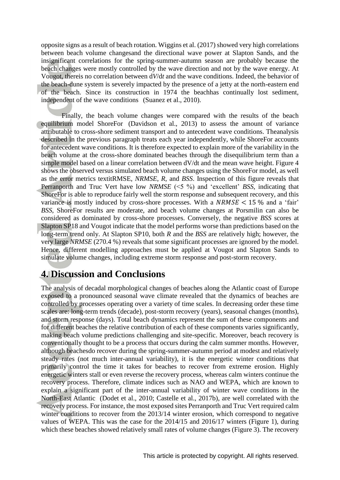opposite signs as a result of beach rotation. Wiggins et al. (2017) showed very high correlations between beach volume changesand the directional wave power at Slapton Sands, and the insignificant correlations for the spring-summer-autumn season are probably because the beach changes were mostly controlled by the wave direction and not by the wave energy. At Vougot, thereis no correlation between d*V*/d*t* and the wave conditions. Indeed, the behavior of the beach-dune system is severely impacted by the presence of a jetty at the north-eastern end of the beach. Since its construction in 1974 the beachhas continually lost sediment, independent of the wave conditions (Suanez et al., 2010).

Finally, the beach volume changes were compared with the results of the beach equilibrium model ShoreFor (Davidson et al., 2013) to assess the amount of variance attributable to cross-shore sediment transport and to antecedent wave conditions. Theanalysis described in the previous paragraph treats each year independently, while ShoreFor accounts for antecedent wave conditions. It is therefore expected to explain more of the variability in the beach volume at the cross-shore dominated beaches through the disequilibrium term than a simple model based on a linear correlation between dV/dt and the mean wave height. Figure 4 shows the observed versus simulated beach volume changes using the ShoreFor model, as well as the error metrics textitRMSE, *NRMSE*, *R*, and *BSS*. Inspection of this figure reveals that Perranporth and Truc Vert have low *NRMSE* (<5 %) and 'excellent' *BSS*, indicating that ShoreFor is able to reproduce fairly well the storm response and subsequent recovery, and this variance is mostly induced by cross-shore processes. With a  $NRMSE < 15$ % and a 'fair' *BSS*, ShoreFor results are moderate, and beach volume changes at Porsmilin can also be considered as dominated by cross-shore processes. Conversely, the negative *BSS* scores at Slapton SP18 and Vougot indicate that the model performs worse than predictions based on the long-term trend only. At Slapton SP10, both *R* and the *BSS* are relatively high; however, the very large *NRMSE* (270.4 %) reveals that some significant processes are ignored by the model. Hence, different modelling approaches must be applied at Vougot and Slapton Sands to simulate volume changes, including extreme storm response and post-storm recovery.

## **4. Discussion and Conclusions**

The analysis of decadal morphological changes of beaches along the Atlantic coast of Europe exposed to a pronounced seasonal wave climate revealed that the dynamics of beaches are controlled by processes operating over a variety of time scales. In decreasing order these time scales are: long-term trends (decade), post-storm recovery (years), seasonal changes (months), and storm response (days). Total beach dynamics represent the sum of these components and for different beaches the relative contribution of each of these components varies significantly, making beach volume predictions challenging and site-specific. Moreover, beach recovery is conventionally thought to be a process that occurs during the calm summer months. However, although beachesdo recover during the spring-summer-autumn period at modest and relatively steady rates (not much inter-annual variability), it is the energetic winter conditions that primarily control the time it takes for beaches to recover from extreme erosion. Highly energetic winters stall or even reverse the recovery process, whereas calm winters continue the recovery process. Therefore, climate indices such as NAO and WEPA, which are known to explain a significant part of the inter-annual variability of winter wave conditions in the North-East Atlantic (Dodet et al., 2010; Castelle et al., 2017b), are well correlated with the recovery process. For instance, the most exposed sites Perranporth and Truc Vert required calm winter conditions to recover from the 2013/14 winter erosion, which correspond to negative values of WEPA. This was the case for the 2014/15 and 2016/17 winters (Figure 1), during which these beaches showed relatively small rates of volume changes (Figure 3). The recovery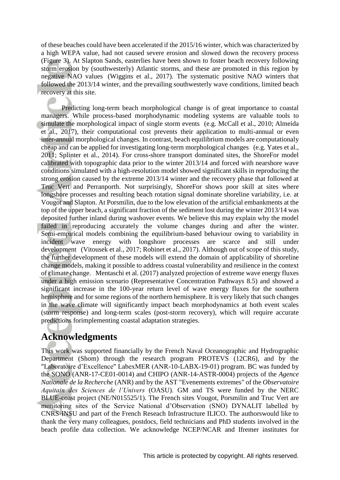of these beaches could have been accelerated if the 2015/16 winter, which was characterized by a high WEPA value, had not caused severe erosion and slowed down the recovery process (Figure 3). At Slapton Sands, easterlies have been shown to foster beach recovery following storm erosion by (southwesterly) Atlantic storms, and these are promoted in this region by negative NAO values (Wiggins et al., 2017). The systematic positive NAO winters that followed the 2013/14 winter, and the prevailing southwesterly wave conditions, limited beach recovery at this site.

Predicting long-term beach morphological change is of great importance to coastal managers. While process-based morphodynamic modeling systems are valuable tools to simulate the morphological impact of single storm events (e.g. McCall et al., 2010; Almeida et al., 2017), their computational cost prevents their application to multi-annual or even inter-annual morphological changes. In contrast, beach equilibrium models are computationaly cheap and can be applied for investigating long-term morphological changes (e.g. Yates et al., 2011; Splinter et al., 2014). For cross-shore transport dominated sites, the ShoreFor model calibrated with topographic data prior to the winter 2013/14 and forced with nearshore wave conditions simulated with a high-resolution model showed significant skills in reproducing the strong erosion caused by the extreme 2013/14 winter and the recovery phase that followed at Truc Vert and Perranporth. Not surprisingly, ShoreFor shows poor skill at sites where longshore processes and resulting beach rotation signal dominate shoreline variability, i.e. at Vougot and Slapton. At Porsmilin, due to the low elevation of the artificial embankments at the top of the upper beach, a significant fraction of the sediment lost during the winter 2013/14 was deposited further inland during washover events. We believe this may explain why the model failed in reproducing accurately the volume changes during and after the winter. Semi-empirical models combining the equilibrium-based behaviour owing to variability in incident wave energy with longshore processes are scarce and still under development (Vitousek et al., 2017; Robinet et al., 2017). Although out of scope of this study, the further development of these models will extend the domain of applicability of shoreline change models, making it possible to address coastal vulnerability and resilience in the context of climate change. Mentaschi et al. (2017) analyzed projection of extreme wave energy fluxes under a high emission scenario (Representative Concentration Pathways 8.5) and showed a significant increase in the 100-year return level of wave energy fluxes for the southern hemisphere and for some regions of the northern hemisphere. It is very likely that such changes in the wave climate will significantly impact beach morphodynamics at both event scales (storm response) and long-term scales (post-storm recovery), which will require accurate predictions forimplementing coastal adaptation strategies.

# **Acknowledgments**

This work was supported financially by the French Naval Oceanographic and Hydrographic Department (Shom) through the research program PROTEVS (12CR6), and by the "Laboratoire d'Excellence" LabexMER (ANR-10-LABX-19-01) program. BC was funded by the SONO (ANR-17-CE01-0014) and CHIPO (ANR-14-ASTR-0004) projects of the *Agence Nationale de la Recherche* (ANR) and by the AST "Evenements extremes" of the *Observatoire Aquitain des Sciences de l'Univers* (OASU). GM and TS were funded by the NERC BLUE-coast project (NE/N015525/1). The French sites Vougot, Porsmilin and Truc Vert are monitoring sites of the Service National d'Observation (SNO) DYNALIT labelled by CNRS-INSU and part of the French Reseach Infrastructure ILICO. The authorswould like to thank the very many colleagues, postdocs, field technicians and PhD students involved in the beach profile data collection. We acknowledge NCEP/NCAR and Ifremer institutes for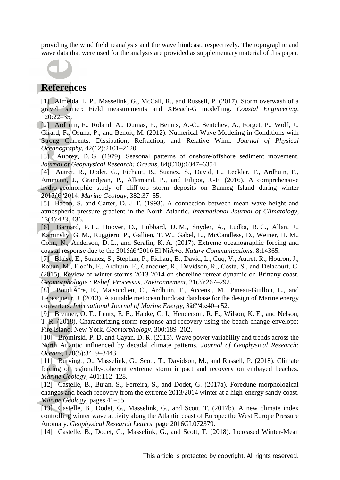providing the wind field reanalysis and the wave hindcast, respectively. The topographic and wave data that were used for the analysis are provided as supplementary material of this paper.



#### **References**

[1] Almeida, L. P., Masselink, G., McCall, R., and Russell, P. (2017). Storm overwash of a gravel barrier: Field measurements and XBeach-G modelling. *Coastal Engineering*, 120:22–35.

[2] Ardhuin, F., Roland, A., Dumas, F., Bennis, A.-C., Sentchev, A., Forget, P., Wolf, J., Girard, F., Osuna, P., and Benoit, M. (2012). Numerical Wave Modeling in Conditions with Strong Currents: Dissipation, Refraction, and Relative Wind. *Journal of Physical Oceanography*, 42(12):2101–2120.

[3] Aubrey, D. G. (1979). Seasonal patterns of onshore/offshore sediment movement. *Journal of Geophysical Research: Oceans*, 84(C10):6347–6354.

[4] Autret, R., Dodet, G., Fichaut, B., Suanez, S., David, L., Leckler, F., Ardhuin, F., Ammann, J., Grandjean, P., Allemand, P., and Filipot, J.-F. (2016). A comprehensive hydro-geomorphic study of cliff-top storm deposits on Banneg Island during winter 2013–2014. *Marine Geology*, 382:37–55.

[5] Bacon, S. and Carter, D. J. T. (1993). A connection between mean wave height and atmospheric pressure gradient in the North Atlantic. *International Journal of Climatology*, 13(4):423–436.

[6] Barnard, P. L., Hoover, D., Hubbard, D. M., Snyder, A., Ludka, B. C., Allan, J., Kaminsky, G. M., Ruggiero, P., Gallien, T. W., Gabel, L., McCandless, D., Weiner, H. M., Cohn, N., Anderson, D. L., and Serafin, K. A. (2017). Extreme oceanographic forcing and coastal response due to the  $2015\hat{a}\hat{\epsilon}$  2016 El Ni $\tilde{A}$  + o. *Nature Communications*, 8:14365.

[7] Blaise, E., Suanez, S., Stephan, P., Fichaut, B., David, L., Cuq, V., Autret, R., Houron, J., Rouan, M., Floc'h, F., Ardhuin, F., Cancouet, R., Davidson, R., Costa, S., and Delacourt, C. (2015). Review of winter storms 2013-2014 on shoreline retreat dynamic on Brittany coast. *Geomorphologie : Relief, Processus, Environnement*, 21(3):267–292.

[8] Boudi $\tilde{A}$  re, E., Maisondieu, C., Ardhuin, F., Accensi, M., Pineau-Guillou, L., and Lepesqueur, J. (2013). A suitable metocean hindcast database for the design of Marine energy converters. *International Journal of Marine Energy*, 3†4:e40–e52.

[9] Brenner, O. T., Lentz, E. E., Hapke, C. J., Henderson, R. E., Wilson, K. E., and Nelson, T. R. (2018). Characterizing storm response and recovery using the beach change envelope: Fire Island, New York. *Geomorphology*, 300:189–202.

[10] Bromirski, P. D. and Cayan, D. R. (2015). Wave power variability and trends across the North Atlantic influenced by decadal climate patterns. *Journal of Geophysical Research: Oceans*, 120(5):3419–3443.

[11] Burvingt, O., Masselink, G., Scott, T., Davidson, M., and Russell, P. (2018). Climate forcing of regionally-coherent extreme storm impact and recovery on embayed beaches. *Marine Geology*, 401:112–128.

[12] Castelle, B., Bujan, S., Ferreira, S., and Dodet, G. (2017a). Foredune morphological changes and beach recovery from the extreme 2013/2014 winter at a high-energy sandy coast. *Marine Geology*, pages 41–55.

[13] Castelle, B., Dodet, G., Masselink, G., and Scott, T. (2017b). A new climate index controlling winter wave activity along the Atlantic coast of Europe: the West Europe Pressure Anomaly. *Geophysical Research Letters*, page 2016GL072379.

[14] Castelle, B., Dodet, G., Masselink, G., and Scott, T. (2018). Increased Winter-Mean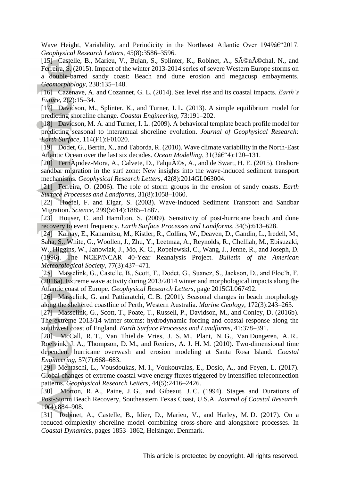Wave Height, Variability, and Periodicity in the Northeast Atlantic Over 1949†2017. *Geophysical Research Letters*, 45(8):3586–3596.

[15] Castelle, B., Marieu, V., Bujan, S., Splinter, K., Robinet, A., Sénéchal, N., and Ferreira, S. (2015). Impact of the winter 2013-2014 series of severe Western Europe storms on a double-barred sandy coast: Beach and dune erosion and megacusp embayments. *Geomorphology*, 238:135–148.

- [16] Cazenave, A. and Cozannet, G. L. (2014). Sea level rise and its coastal impacts. *Earth's Future*, 2(2):15–34.
- [17] Davidson, M., Splinter, K., and Turner, I. L. (2013). A simple equilibrium model for predicting shoreline change. *Coastal Engineering*, 73:191–202.
- [18] Davidson, M. A. and Turner, I. L. (2009). A behavioral template beach profile model for predicting seasonal to interannual shoreline evolution. *Journal of Geophysical Research: Earth Surface*, 114(F1):F01020.
- [19] Dodet, G., Bertin, X., and Taborda, R. (2010). Wave climate variability in the North-East Atlantic Ocean over the last six decades. *Ocean Modelling*, 31(3†4):120-131.
- [20] Fern $\tilde{A}$ ; ndez-Mora, A., Calvete, D., Falqu $\tilde{A}$ ©s, A., and de Swart, H. E. (2015). Onshore sandbar migration in the surf zone: New insights into the wave-induced sediment transport mechanisms. *Geophysical Research Letters*, 42(8):2014GL063004.
- [21] Ferreira, O. (2006). The role of storm groups in the erosion of sandy coasts. *Earth Surface Processes and Landforms*, 31(8):1058–1060.

[22] Hoefel, F. and Elgar, S. (2003). Wave-Induced Sediment Transport and Sandbar Migration. *Science*, 299(5614):1885–1887.

[23] Houser, C. and Hamilton, S. (2009). Sensitivity of post-hurricane beach and dune recovery to event frequency. *Earth Surface Processes and Landforms*, 34(5):613–628.

[24] Kalnay, E., Kanamitsu, M., Kistler, R., Collins, W., Deaven, D., Gandin, L., Iredell, M., Saha, S., White, G., Woollen, J., Zhu, Y., Leetmaa, A., Reynolds, R., Chelliah, M., Ebisuzaki, W., Higgins, W., Janowiak, J., Mo, K. C., Ropelewski, C., Wang, J., Jenne, R., and Joseph, D. (1996). The NCEP/NCAR 40-Year Reanalysis Project. *Bulletin of the American Meteorological Society*, 77(3):437–471.

[25] Masselink, G., Castelle, B., Scott, T., Dodet, G., Suanez, S., Jackson, D., and Floc'h, F. (2016a). Extreme wave activity during 2013/2014 winter and morphological impacts along the Atlantic coast of Europe. *Geophysical Research Letters*, page 2015GL067492.

[26] Masselink, G. and Pattiaratchi, C. B. (2001). Seasonal changes in beach morphology along the sheltered coastline of Perth, Western Australia. *Marine Geology*, 172(3):243–263.

[27] Masselink, G., Scott, T., Poate, T., Russell, P., Davidson, M., and Conley, D. (2016b). The extreme 2013/14 winter storms: hydrodynamic forcing and coastal response along the southwest coast of England. *Earth Surface Processes and Landforms*, 41:378–391.

[28] McCall, R. T., Van Thiel de Vries, J. S. M., Plant, N. G., Van Dongeren, A. R., Roelvink, J. A., Thompson, D. M., and Reniers, A. J. H. M. (2010). Two-dimensional time dependent hurricane overwash and erosion modeling at Santa Rosa Island. *Coastal Engineering*, 57(7):668–683.

[29] Mentaschi, L., Vousdoukas, M. I., Voukouvalas, E., Dosio, A., and Feyen, L. (2017). Global changes of extreme coastal wave energy fluxes triggered by intensified teleconnection patterns. *Geophysical Research Letters*, 44(5):2416–2426.

[30] Morton, R. A., Paine, J. G., and Gibeaut, J. C. (1994). Stages and Durations of Post-Storm Beach Recovery, Southeastern Texas Coast, U.S.A. *Journal of Coastal Research*, 10(4):884–908.

[31] Robinet, A., Castelle, B., Idier, D., Marieu, V., and Harley, M. D. (2017). On a reduced-complexity shoreline model combining cross-shore and alongshore processes. In *Coastal Dynamics*, pages 1853–1862, Helsingor, Denmark.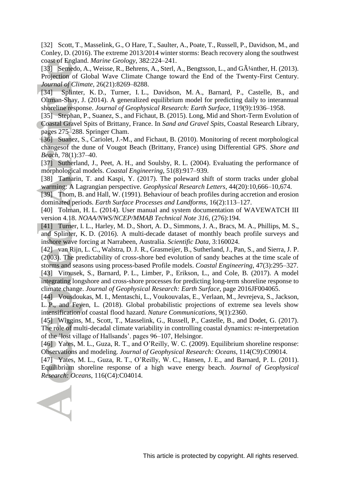[32] Scott, T., Masselink, G., O Hare, T., Saulter, A., Poate, T., Russell, P., Davidson, M., and Conley, D. (2016). The extreme 2013/2014 winter storms: Beach recovery along the southwest coast of England. *Marine Geology*, 382:224–241.

[33] Semedo, A., Weisse, R., Behrens, A., Sterl, A., Bengtsson, L., and  $G\tilde{A}^{1}/a$ nther, H. (2013). Projection of Global Wave Climate Change toward the End of the Twenty-First Century. *Journal of Climate*, 26(21):8269–8288.

- [34] Splinter, K. D., Turner, I. L., Davidson, M. A., Barnard, P., Castelle, B., and Oltman-Shay, J. (2014). A generalized equilibrium model for predicting daily to interannual shoreline response. *Journal of Geophysical Research: Earth Surface*, 119(9):1936–1958.
- [35] Stephan, P., Suanez, S., and Fichaut, B. (2015). Long, Mid and Short-Term Evolution of Coastal Gravel Spits of Brittany, France. In *Sand and Gravel Spits*, Coastal Research Library, pages 275–288. Springer Cham.
- [36] Suanez, S., Cariolet, J.-M., and Fichaut, B. (2010). Monitoring of recent morphological changesof the dune of Vougot Beach (Brittany, France) using Differential GPS. *Shore and Beach*, 78(1):37–40.

[37] Sutherland, J., Peet, A. H., and Soulsby, R. L. (2004). Evaluating the performance of morphological models. *Coastal Engineering*, 51(8):917–939.

- [38] Tamarin, T. and Kaspi, Y. (2017). The poleward shift of storm tracks under global warming: A Lagrangian perspective. *Geophysical Research Letters*, 44(20):10,666–10,674.
- [39] Thom, B. and Hall, W. (1991). Behaviour of beach profiles during accretion and erosion dominated periods. *Earth Surface Processes and Landforms*, 16(2):113–127.
- [40] Tolman, H. L. (2014). User manual and system documentation of WAVEWATCH III version 4.18. *NOAA/NWS/NCEP/MMAB Technical Note 316*, (276):194.
- [41] Turner, I. L., Harley, M. D., Short, A. D., Simmons, J. A., Bracs, M. A., Phillips, M. S., and Splinter, K. D. (2016). A multi-decade dataset of monthly beach profile surveys and inshore wave forcing at Narrabeen, Australia. *Scientific Data*, 3:160024.

[42] van Rijn, L. C., Walstra, D. J. R., Grasmeijer, B., Sutherland, J., Pan, S., and Sierra, J. P. (2003). The predictability of cross-shore bed evolution of sandy beaches at the time scale of storms and seasons using process-based Profile models. *Coastal Engineering*, 47(3):295–327.

[43] Vitousek, S., Barnard, P. L., Limber, P., Erikson, L., and Cole, B. (2017). A model integrating longshore and cross-shore processes for predicting long-term shoreline response to climate change. *Journal of Geophysical Research: Earth Surface*, page 2016JF004065.

[44] Vousdoukas, M. I., Mentaschi, L., Voukouvalas, E., Verlaan, M., Jevrejeva, S., Jackson, L. P., and Feyen, L. (2018). Global probabilistic projections of extreme sea levels show intensification of coastal flood hazard. *Nature Communications*, 9(1):2360.

[45] Wiggins, M., Scott, T., Masselink, G., Russell, P., Castelle, B., and Dodet, G. (2017). The role of multi-decadal climate variability in controlling coastal dynamics: re-interpretation of the 'lost village of Hallsands'. pages 96–107, Helsingor.

[46] Yates, M. L., Guza, R. T., and O'Reilly, W. C. (2009). Equilibrium shoreline response: Observations and modeling. *Journal of Geophysical Research: Oceans*, 114(C9):C09014.

[47] Yates, M. L., Guza, R. T., O'Reilly, W. C., Hansen, J. E., and Barnard, P. L. (2011). Equilibrium shoreline response of a high wave energy beach. *Journal of Geophysical Research: Oceans*, 116(C4):C04014.

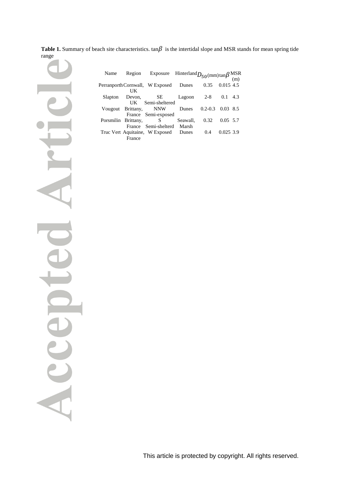|       | Table 1. Summary of beach site characteristics. $tan\beta$ is the intertidal slope and MSR stands for mean spring tide |
|-------|------------------------------------------------------------------------------------------------------------------------|
| range |                                                                                                                        |

| Name                | Region                | Exposure Hinterland $D_{50}$ (mm) $\tan\beta$ MSR<br>(m) |          |             |             |     |
|---------------------|-----------------------|----------------------------------------------------------|----------|-------------|-------------|-----|
|                     |                       | Perranporth Cornwall, W Exposed                          | Dunes    | 0.35        | $0.015$ 4.5 |     |
|                     | UK                    |                                                          |          |             |             |     |
| Slapton             | Devon,                | SE 5                                                     | Lagoon   | $2-8$       | 0.1         | 4.3 |
|                     |                       | UK Semi-sheltered                                        |          |             |             |     |
|                     | Vougout Brittany, NNW |                                                          | Dunes    | $0.2 - 0.3$ | $0.03$ 8.5  |     |
|                     |                       | France Semi-exposed                                      |          |             |             |     |
| Porsmilin Brittany, |                       | S                                                        | Seawall. | 0.32        | 0.05, 5.7   |     |
|                     |                       | France Semi-shelterd                                     | Marsh    |             |             |     |
|                     |                       | Truc Vert Aquitaine, W Exposed                           | Dunes    | 0.4         | 0.025, 3.9  |     |
|                     | France                |                                                          |          |             |             |     |

ACC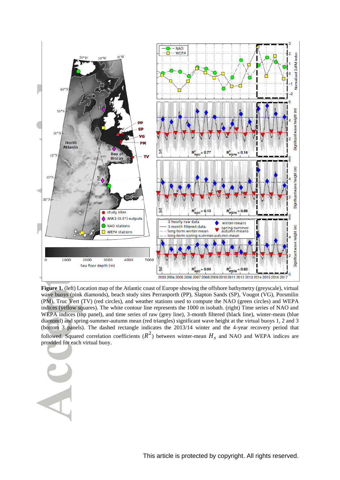

**Figure 1.** (left) Location map of the Atlantic coast of Europe showing the offshore bathymetry (greyscale), virtual wave buoys (pink diamonds), beach study sites Perranporth (PP), Slapton Sands (SP), Vougot (VG), Porsmilin (PM), Truc Vert (TV) (red circles), and weather stations used to compute the NAO (green circles) and WEPA indices (yellow squares). The white contour line represents the 1000 m isobath. (right) Time series of NAO and WEPA indices (top panel), and time series of raw (grey line), 3-month filtered (black line), winter-mean (blue diamond) and spring-summer-autumn mean (red triangles) significant wave height at the virtual buoys 1, 2 and 3 (bottom 3 panels). The dashed rectangle indicates the 2013/14 winter and the 4-year recovery period that followed. Squared correlation coefficients  $(R^2)$  between winter-mean  $H_s$  and NAO and WEPA indices are provided for each virtual buoy.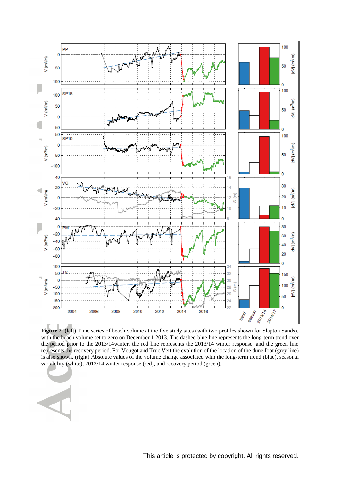

**Figure 2.** (left) Time series of beach volume at the five study sites (with two profiles shown for Slapton Sands), with the beach volume set to zero on December 1 2013. The dashed blue line represents the long-term trend over the period prior to the 2013/14winter, the red line represents the 2013/14 winter response, and the green line represents the recovery period. For Vougot and Truc Vert the evolution of the location of the dune foot (grey line) is also shown. (right) Absolute values of the volume change associated with the long-term trend (blue), seasonal variability (white), 2013/14 winter response (red), and recovery period (green).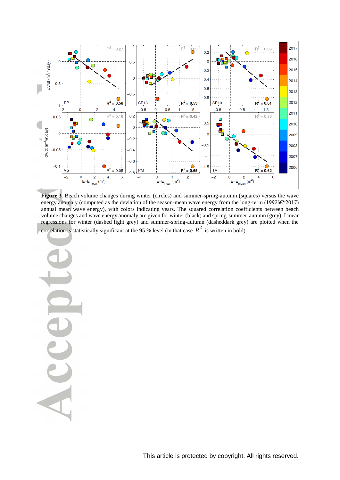

**Figure 3**. Beach volume changes during winter (circles) and summer-spring-autumn (squares) versus the wave energy anomaly (computed as the deviation of the season-mean wave energy from the long-term (1992 $\hat{a} \in \{2017\}$ ) annual mean wave energy), with colors indicating years. The squared correlation coefficients between beach volume changes and wave energy anomaly are given for winter (black) and spring-summer-autumn (grey). Linear regressions for winter (dashed light grey) and summer-spring-autumn (dasheddark grey) are plotted when the correlation is statistically significant at the 95 % level (in that case  $R^2$  is written in bold).